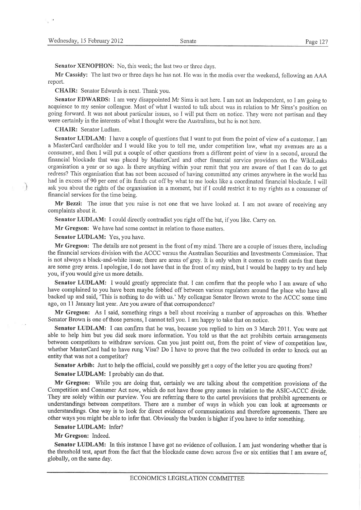Senator XENOPHON: No, this week; the last two or three days.

Mr Cassidy: The last fwo or three days he has not. He was in the media over the weekend, following an AAA report.

CHAIR: Senator Edwards is next. Thank you.

Senator EDWARDS: I am very disappointed Mr Sims is not here. I am not an Independent, so I am going to acquiesce to my senior colleague. Most of what I wanted to talk about was in relation to Mr Sims's position on going forward. It was not about particular issues, so I will put them on notice. They were not partisan and they were certainly in the interests of what I thought were the Australians, but he is not here.

CHAIR: Senator Ludlam.

 $\rightarrow$ 

Senator LUDLAM: I have a couple of questions that I want to put from the point of view of a customer. I am <sup>a</sup>MasterCard cardholder and I would like you to tell me, under competition law, what my avenues are as <sup>a</sup> consumer, and then I will put a couple of other questions from a different point of view in a second, around the financial blockade that was placed by MasterCard and other financial service providers on the Wikileaks organisation a year or so ago. Is there anything within your remit that you are aware of that I can do to get redress? Thìs organisation that has not been accused of having comrnitted any crimes anywhere in the world has had in excess of 90 per cent of its funds cut off by what to me looks like a coordinated financial blockade. I will ask you about the rights of the organisation in a moment, but if I could restrict it to my rights as a consumer of financial services for the time being.

Mr Bezzi: The issue that you raise is not one that we have looked at. I am not aware of receiving any complaints about it.

Senator LUDLAM: I could directly contradict you right off the bat, if you like. Carry on.

Mr Gregson: We have had some contact in relation to those matters.

Senator LUDLAM: Yes, you have.

Mr Gregson: The details are not present in the front of my mind. There are a couple of issues there, including the financial services division with the ACCC versus the Australian Securities and Investments Commission. That is not always a black-and-white issue; there are areas of grey. It is only when it comes to credit cards that there are some grey areas. I apologise, I do not have that in the front of my miad, but I would be happy to try and help you, if you would give us more details.

Senator LUDLAM: I would greatly appreciate that. I can confirm that the people who I am aware of who have complained to you have been maybe fobbed off between various regulators around the place who have all backed up and said, 'This is nothing to do with us.' My colleague Senator Brown wrote to the ACCC some time ago, on 11 January last year. Are you aware of that correspondence?

Mr Gregson: As I said, something rings a bell about receiving a number of approaches on this. Whether Senator Brown is one of those persons, I cannot tell you. I am happy to take that on notice.

Senator LUDLAM: I can confirm that he was, because you replied to him on 3 March 2011. You were not able to help him but you did seek more information. You told us that the act prohibits certain arrangements between competitors to withdraw services. Can you just point out, from the point of view of competition law, whether MasterCard had to have rung Visa? Do I have to prove that the two colluded in order to knock out an entity that was not a competitor?

Senator Arbib: Just to help the official, could we possibly get a copy of the letter you are quoting from?

Senator LUDLAM: I probably can do that.

Mr Gregson: While you are doing that, certainly we are talking about the competition provisions of the Competition and Consumer Act now, which do not have those grey zones in relation to the ASIC-ACCC divide. They are solely within our purview. You are referring there to the cartel provisions that prohibit agreements or understandings between competitors. There are a number of ways in which you can look at agreements or understandings. One way is to look for direct evidence of communications and therefore agreements. There are other ways you might be able to infer that. Obviously the burden is higher if you have to infer something.

## Senator LUDLAM: Infer?

Mr Gregson: Indeed.

Senator LUDLAM: In this instance I have got no evidence of collusion. I am just wondering whether that is the threshold test, apart from the fact that the blockade came down across five or six entities that I am aware of. globally, on the same day.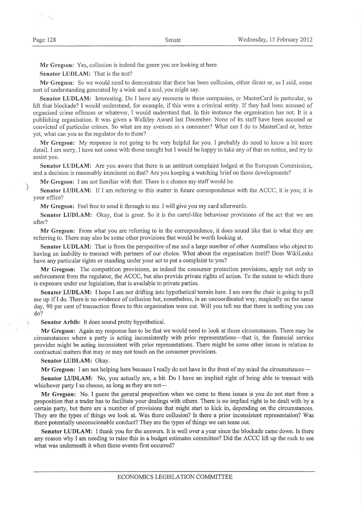ā.  $\sigma_{\rm H_2}$ 

Mr Gregson: Yes, collusion is indeed the genre you are looking at here.

Senator LUDLAM: That is the test?

Mr Gregson: So we would need to demonstrate that there has been collusion, either direct or, as I said, some sort of understanding generated by a wink and a nod, you might say.

Senator LUDLAM: Interesting. Do I have any recourse to these companies, or MasterCard in particular, to Iift that blockade? I would understand, for example, if this were a criminal entity. If they had been accused of organised crime offences or whatever. I would understand that. In this instance the organisation has not. It is a publishing organisation. It was given a Walkley Award last December. None of its staff have been accused or convicted of particular crimes. So what are my avenues as a consumer? What can I do to MastetCard or, better yet, what can you as the regulator do to them?

Mr Gregson: My response is not going to be very helpful for you. I probably do need to know a bit more detail. I am sorry, I have not come with those tonight but I would be happy to take any of that on notice, and try to assist you.

Senator LUDLAM: Are you aware that there is an antitrust complaint lodged at the European Commission, and a decision is reasonably imminent on that? Are you keeping a watching brief on those developments?

Mr Gregson: I am not familiar with that. There is a chance my staff would be.

Senator LUDLAM: If I am referring to this matter in future correspondence with the ACCC, it is you; it is your office?

Mr Gregson: Feel free to send it through to me. I will give you my card afterwards.

Senator LUDLAM: Okay, that is great. So it is the cartel-like behaviour provisions of the act that we are after?

Mr Gregson: From what you are referring to in the correspondence, it does sound like that is what they are referring to. There may also be some other provisions that would be worth looking at.

Senator LUDLAM: That is from the perspective of me and a large number of other Australians who object to having an inability to transact with partners of our choice. What about the organisation itself? Does WikiLeaks have any particular rights or standing under your act to put a complaint to you?

Mr Gregson: The competition provisions, as indeed the consumer protection provisions, apply not only to enforcement from the regulator, the ACCC, but also provide private rights of action. To the extent to which there is exposure under our legislation, that is available to private parties.

Senator LUDLAM: I hope I am not drifting into hypothetical terrain here. I am sure the chair is going to pull me up if I do. There is no evidence of collusion but, nonetheless, in an uncoordinated way, magically on the same day, 90 per cent of transaction flows to this organisation were cut. Will you tell me that there is nothing you can do?

Senator Arbib: It does sound pretty hypothetical.

Mr Gregson: Again my response has to be that we would need to look at those circumstances. There may be circumstances where a party is acting inconsistently with prior representations-that is, the furancial service provider might be acting inconsistent with prior representations. There might be some other issues in relation to contractual matters that may or may not touch on the consumer provisions.

## Senator LUDLAM: Okay.

Mr Gregson: I am not helping here because I really do not have in the front of my mind the circumstances-

Senator LUDLAM: No, you actually are, a bit. Do I have an implied right of being able to transact with whichever party I so choose, as long as they are not-

Mr Gregson: No. I guess the general proposition when we come to these issues is you do not start from <sup>a</sup> proposition that a hader has to facilitate your dealings with others. There is no implied right to be dealt with by a certain party, but there are a number of provisions that might start to kick in, depending on the circumstances. They are the types of things we look at. Was there collusion? Is there a prior inconsistent representation? Was there potentially unconscionable conduct? They are the types of things we can tease out.

Senator LUDLAM: I thank you for the answers. It is well over a year since the blockade came down. Is there any reason why I am needing to raise this in a budget estimates committee? Did the ACCC lift up the rock to see what was underneath it when these events first occurred?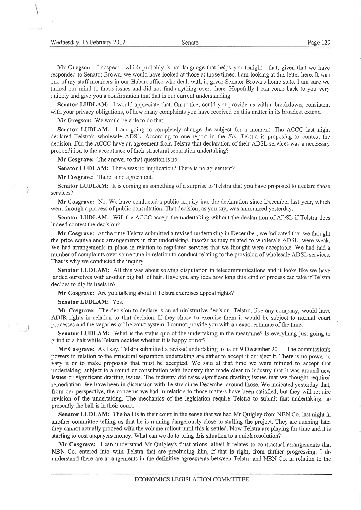Senator LUDLAM: I would appreciate that. On notice, could you provide us with a breakdown, consistent with your privacy obligations, of how many complaints you have received on this matter in its broadest extent.

Mr Gregson: We would be able to do that.

Senator LUDLAM: I am going to completely change the subject for a moment. The ACCC last night declared Telstra's wholesale ADSL. According to one report in the Fin, Telstra is proposing to contest the decision. Did the ACCC have an agreement from Telstra that declaration of their ADSL services was a necessary precondition to the acceptance of their structural separation undertaking?

Mr Cosgrave: The answer to that question is no.

Senator LUDLAM: There was no implication? There is no agreement?

Mr Cosgrave: There is no agreement.

1

Senator LUDLAM: It is coming as something of a surprise to Telstra that you have proposed to declare those services?

Mr Cosgrave: No. We have conducted a public inquiry into the declaration since December last year, which went through a process of public consultation. That decision, as you say, was announced yesterday.

Senator LUDLAM: Will the ACCC accept the undertaking without the declaration of ADSL if Telstra does indeed contest the decision?

Mr Cosgrave: At the time Telstra submitted a revised undertaking in December, we indicated that we thought the price equivalence arrangements in that undertaking, insofar as they related to wholesale ADSL, were weak. We had arrangements in place in relation to regulated services that we thought were acceptable. We had had a number of complaints over some time in relation to conduct relating to the provision of wholesale ADSL services. That is why we conducted the inquiry.

Senator LUDLAM: All this was about solving disputation in telecommunications and it looks like we have landed ourselves with another big ball of hair. Have you any idea how long this kind of process can take if Telstra decides to dig its heels in?

Mr Cosgrave: Are you talking about if Telstra exercises appeal rights?

## Senator LUDLAM: Yes.

Mr Cosgrave: The decision to declare is an administrative decision. Telstra, like any company, would have ADJR rights in relation to that decision. If they chose to exercise them it would be subject to normal court processes and the vagaries of the court system. I cannot provide you with an exact estimate of the time.

Senator LUDLAM: What is the status quo of the undertaking in the meantime? Is everything just going to grind to a halt while Telstra decides whether it is happy or not?

Mr Cosgrave: As I say, Telstra submitted a revised undertaking to us on 9 December 2011. The commission's powers in relation to the structural separation undertaking are either to accept it or reject it. There is no power to vary it or to make proposals that must be accepted. We said at that time we were minded to accept that undertaking, subject to a round of consultation with industry that made clear to industry that it was arorurd new issues or significant drafting issues. The industry did raise significant drafting issues that we thought required remediation. We have been in discussion with Telstra since December around those. We indicated yesterday that, from our perspective, the concems we had in relation to those matters have been satisfied, but they will require revision of the undertaking. The mechanics of the legislation require Telstra to submit that undertaking, so presently the ball is in their court.

Senator LUDLAM: The ball is in their court in the sense that we had Mr Quigley from NBN Co. last night in another committee telling us that he is running dangerously close to stalling the project. They are rururing late; they cannot actually proceed with the volume rollout until this is settled. Now Telstra are playing for time and it is starting to cost taxpayers money. What can we do to bring this situation to a quick resolution?

Mr Cosgrave: I can understand Mr Quigley's frustrations, albeit it relates to contractual arrangements that NBN Co. entered into with Telstra that are precluding him, if that is right, from further progressing. I do understand there are arrangements in the definitive agreements between Telstra and NBN Co. in relation to the